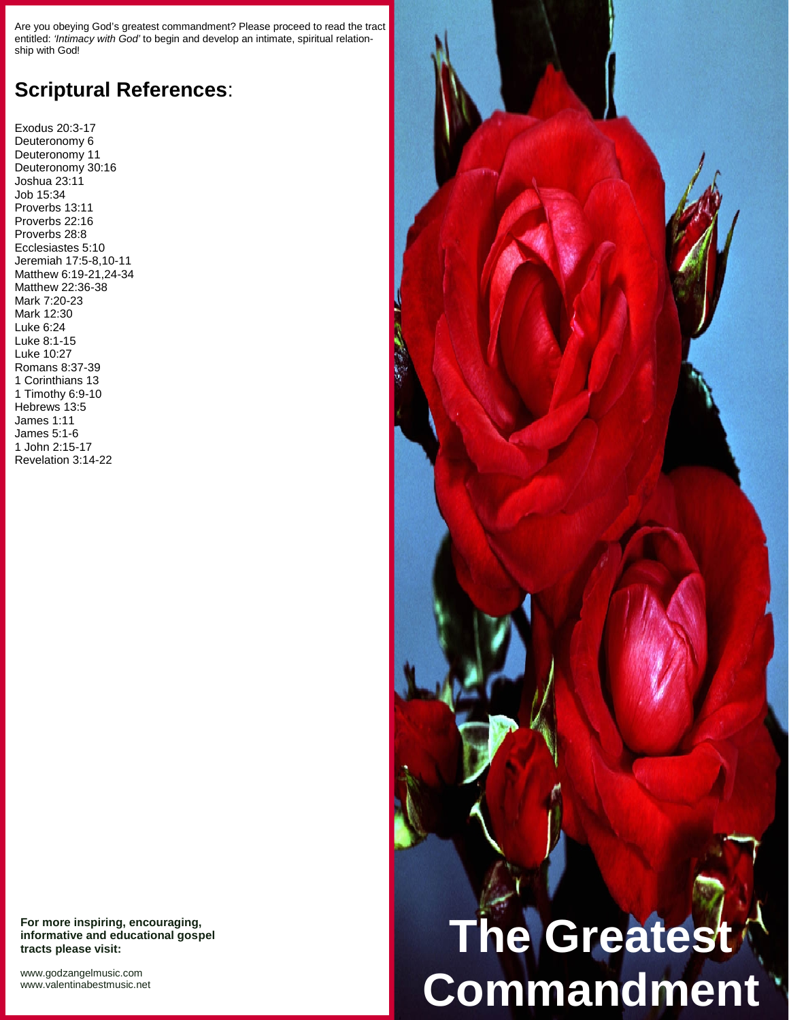Are you obeying God's greatest commandment? Please proceed to read the tract entitled: *'Intimacy with God'* to begin and develop an intimate, spiritual relation ship with God!

## **Scriptural References**:

Exodus 20:3-17 Deuteronomy 6 Deuteronomy 11 Deuteronomy 30:16 Joshua 23:11 Job 15:34 Proverbs 13:11 Proverbs 22:16 Proverbs 28:8 Ecclesiastes 5:10 Jeremiah 17:5-8,10-11 Matthew 6:19-21,24-34 Matthew 22:36-38 Mark 7:20-23 Mark 12:30 Luke 6:24 Luke 8:1-15 Luke 10:27 Romans 8:37-39 1 Corinthians 13 1 Timothy 6:9-10 Hebrews 13:5 James 1:11 James 5:1-6 1 John 2:15-17 Revelation 3:14-22

**For more inspiring, encouraging, informative and educational gospel tracts please visit:**

<www.godzangelmusic.com> <www.valentinabestmusic.net>



**Commandment**